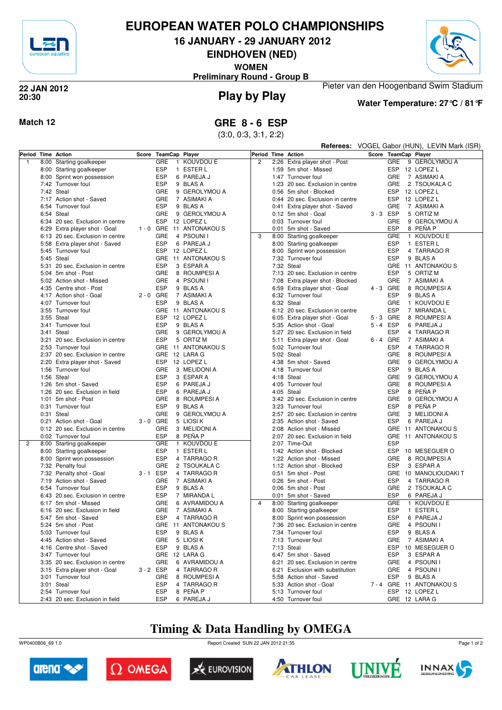

## **EUROPEAN WATER POLO CHAMPIONSHIPS**

**16 JANUARY - 29 JANUARY 2012**

**EINDHOVEN (NED)**

**WOMEN**

**Preliminary Round - Group B**



## **20:30**



# **Play by Play 22 JAN 2012**

## **Water Temperature: 27°C / 81°F**

Pieter van den Hoogenband Swim Stadium

### **Match 12 GRE 8 - 6 ESP**

(3:0, 0:3, 3:1, 2:2)

|                    |                                                |             |            |                              |                    | Referees: VOGEL Gabor (HUN), LEVIN Mark (ISR) |                                            |         |                          |  |                           |
|--------------------|------------------------------------------------|-------------|------------|------------------------------|--------------------|-----------------------------------------------|--------------------------------------------|---------|--------------------------|--|---------------------------|
| Period Time Action |                                                | Score       |            | TeamCap Player               | Period Time Action |                                               |                                            |         |                          |  | Score TeamCap Player      |
| $\overline{1}$     | 8:00 Starting goalkeeper                       |             | GRE        | 1 KOUVDOU E                  | 2                  |                                               | 2:26 Extra player shot - Post              |         | <b>GRE</b>               |  | 9 GEROLYMOU A             |
|                    | 8:00 Starting goalkeeper                       |             | <b>ESP</b> | 1 ESTER L                    |                    |                                               | 1:59 5m shot - Missed                      |         |                          |  | ESP 12 LOPEZ L            |
|                    | 8:00 Sprint won possession                     |             | <b>ESP</b> | 6 PAREJA J                   |                    |                                               | 1:47 Turnover foul                         |         | <b>GRE</b>               |  | 7 ASIMAKI A               |
|                    | 7:42 Turnover foul                             |             | <b>ESP</b> | 9 BLAS A                     |                    |                                               | 1:23 20 sec. Exclusion in centre           |         | <b>GRE</b>               |  | 2 TSOUKALA C              |
|                    | 7:42 Steal                                     |             | GRE        | 9 GEROLYMOU A                |                    |                                               | 0:56 5m shot - Blocked                     |         |                          |  | ESP 12 LOPEZ L            |
|                    | 7:17 Action shot - Saved                       |             | GRE        | 7 ASIMAKI A                  |                    |                                               | 0:44 20 sec. Exclusion in centre           |         | ESP                      |  | 12 LOPEZ L                |
|                    | 6:54 Turnover foul                             |             | <b>ESP</b> | 9 BLAS A                     |                    |                                               | 0:41 Extra player shot - Saved             |         | <b>GRE</b>               |  | 7 ASIMAKI A               |
|                    | 6:54 Steal                                     |             | GRE        | 9 GEROLYMOU A                |                    |                                               | 0:12 5m shot - Goal                        | 3-3 ESP |                          |  | 5 ORTIZ M                 |
|                    | 6:34 20 sec. Exclusion in centre               |             | <b>ESP</b> | 12 LOPEZ L                   |                    |                                               | 0:03 Turnover foul                         |         | GRE                      |  | 9 GEROLYMOU A             |
|                    | 6:29 Extra player shot - Goal                  |             |            | 1 - 0 GRE 11 ANTONAKOUS      |                    |                                               | 0:01 5m shot - Saved                       |         | <b>ESP</b>               |  | 8 PEÑA P                  |
|                    | 6:13 20 sec. Exclusion in centre               |             | GRE        | 4 PSOUNI I                   | 3                  |                                               | 8:00 Starting goalkeeper                   |         | GRE                      |  | 1 KOUVDOU E               |
|                    | 5:58 Extra player shot - Saved                 |             | <b>ESP</b> | 6 PAREJA J                   |                    |                                               | 8:00 Starting goalkeeper                   |         | <b>ESP</b>               |  | 1 ESTER L                 |
|                    | 5:45 Turnover foul                             |             |            | ESP 12 LOPEZ L               |                    |                                               | 8:00 Sprint won possession                 |         | <b>ESP</b>               |  | 4 TARRAGO R               |
|                    | 5:45 Steal                                     |             |            | GRE 11 ANTONAKOUS            |                    |                                               | 7:32 Turnover foul                         |         | <b>ESP</b>               |  | 9 BLAS A                  |
|                    | 5:31 20 sec. Exclusion in centre               |             | <b>ESP</b> | 3 ESPAR A                    |                    |                                               | 7:32 Steal                                 |         | <b>GRE</b>               |  | 11 ANTONAKOU S            |
|                    | 5:04 5m shot - Post                            |             | GRE        | 8 ROUMPESI A                 |                    |                                               | 7:13 20 sec. Exclusion in centre           |         | <b>ESP</b>               |  | 5 ORTIZ M                 |
|                    | 5:02 Action shot - Missed                      |             | GRE        | 4 PSOUNI I                   |                    |                                               | 7:08 Extra player shot - Blocked           |         | GRE                      |  | 7 ASIMAKI A               |
|                    | 4:35 Centre shot - Post                        |             | <b>ESP</b> | 9 BLAS A                     |                    |                                               | 6:59 Extra player shot - Goal              |         | 4-3 GRE                  |  | 8 ROUMPESIA               |
|                    | 4:17 Action shot - Goal                        | $2 - 0$ GRE |            | 7 ASIMAKI A                  |                    |                                               | 6:32 Turnover foul                         |         | <b>ESP</b>               |  | 9 BLAS A                  |
|                    | 4:07 Turnover foul                             |             | <b>ESP</b> | 9 BLAS A                     |                    |                                               | 6:32 Steal                                 |         | GRE                      |  | 1 KOUVDOU E               |
|                    | 3:55 Turnover foul                             |             |            | GRE 11 ANTONAKOUS            |                    |                                               | 6:12 20 sec. Exclusion in centre           |         | <b>ESP</b>               |  | 7 MIRANDA L               |
|                    | 3:55 Steal                                     |             | <b>ESP</b> | 12 LOPEZ L                   |                    |                                               | 6:05 Extra player shot - Goal              |         | 5-3 GRE                  |  | 8 ROUMPESI A              |
|                    | 3:41 Turnover foul                             |             | <b>ESP</b> | 9 BLAS A                     |                    |                                               | 5:35 Action shot - Goal                    | 5-4 ESP |                          |  | 6 PAREJA J                |
|                    | 3:41 Steal                                     |             | GRE        | 9 GEROLYMOU A                |                    |                                               | 5:27 20 sec. Exclusion in field            |         | <b>ESP</b>               |  | 4 TARRAGO R               |
|                    | 3:21 20 sec. Exclusion in centre               |             | <b>ESP</b> | 5 ORTIZ M                    |                    |                                               | 5:11 Extra player shot - Goal              | 6-4 GRE |                          |  | 7 ASIMAKI A               |
|                    | 2:53 Turnover foul                             |             |            | GRE 11 ANTONAKOUS            |                    |                                               | 5:02 Turnover foul                         |         | <b>ESP</b>               |  | 4 TARRAGO R               |
|                    | 2:37 20 sec. Exclusion in centre               |             |            | GRE 12 LARA G                |                    |                                               | 5:02 Steal                                 |         | GRE                      |  | 8 ROUMPESI A              |
|                    | 2:20 Extra player shot - Saved                 |             |            | ESP 12 LOPEZ L               |                    |                                               | 4:38 5m shot - Saved                       |         | <b>GRE</b>               |  | 9 GEROLYMOU A             |
|                    | 1:56 Turnover foul                             |             | <b>GRE</b> | 3 MELIDONI A                 |                    |                                               | 4:18 Turnover foul                         |         | <b>ESP</b>               |  | 9 BLAS A                  |
|                    | 1:56 Steal                                     |             | <b>ESP</b> | 3 ESPAR A                    |                    |                                               | 4:18 Steal                                 |         | <b>GRE</b>               |  | 9 GEROLYMOU A             |
|                    | 1:26 5m shot - Saved                           |             | <b>ESP</b> | 6 PAREJA J                   |                    |                                               | 4:05 Turnover foul                         |         | GRE                      |  | 8 ROUMPESIA               |
|                    | 1:26 20 sec. Exclusion in field                |             | <b>ESP</b> | 6 PAREJA J                   |                    |                                               | 4:05 Steal                                 |         | ESP                      |  | 8 PENA P                  |
|                    | 1:01 5m shot - Post                            |             | GRE        | 8 ROUMPESIA                  |                    |                                               | 3:42 20 sec. Exclusion in centre           |         | <b>GRE</b>               |  | 9 GEROLYMOU A             |
|                    | 0:31 Turnover foul                             |             | <b>ESP</b> | 9 BLAS A                     |                    |                                               | 3:23 Turnover foul                         |         | <b>ESP</b>               |  | 8 PEÑA P                  |
|                    | 0:31 Steal                                     |             | GRE        | 9 GEROLYMOU A                |                    |                                               | 2:57 20 sec. Exclusion in centre           |         | GRE                      |  | 3 MELIDONI A              |
|                    | 0:21 Action shot - Goal                        | $3 - 0$ GRE |            | 5 LIOSI K                    |                    |                                               | 2:35 Action shot - Saved                   |         | <b>ESP</b>               |  | 6 PAREJA J                |
|                    | 0:12 20 sec. Exclusion in centre               |             | GRE        | 3 MELIDONI A                 |                    |                                               | 2:08 Action shot - Missed                  |         |                          |  | GRE 11 ANTONAKOUS         |
|                    | 0:02 Turnover foul                             |             | <b>ESP</b> | 8 PEÑA P                     |                    |                                               | 2:07 20 sec. Exclusion in field            |         | <b>GRE</b>               |  | 11 ANTONAKOU S            |
| $\overline{2}$     | 8:00 Starting goalkeeper                       |             | GRE        | 1 KOUVDOU E                  |                    |                                               | 2:07 Time-Out                              |         | <b>ESP</b>               |  |                           |
|                    | 8:00 Starting goalkeeper                       |             | <b>ESP</b> | 1 ESTER L                    |                    |                                               | 1:42 Action shot - Blocked                 |         | ESP                      |  | 10 MESEGUER O             |
|                    | 8:00 Sprint won possession                     |             | <b>ESP</b> | 4 TARRAGO R                  |                    |                                               | 1:22 Action shot - Missed                  |         | <b>GRE</b><br><b>ESP</b> |  | 8 ROUMPESI A              |
|                    | 7:32 Penalty foul                              |             | GRE        | 2 TSOUKALA C                 |                    |                                               | 1:12 Action shot - Blocked                 |         |                          |  | 3 ESPAR A                 |
|                    | 7:32 Penalty shot - Goal                       | 3-1 ESP     |            | 4 TARRAGO R                  |                    |                                               | 0:51 5m shot - Post<br>0:26 5m shot - Post |         | <b>GRE</b>               |  | 10 MANOLIOUDAKI T         |
|                    | 7:19 Action shot - Saved                       |             | GRE        | 7 ASIMAKI A                  |                    |                                               |                                            |         | <b>ESP</b>               |  | 4 TARRAGO R               |
|                    | 6:54 Turnover foul                             |             | <b>ESP</b> | 9 BLAS A                     |                    |                                               | 0:06 5m shot - Post                        |         | <b>GRE</b>               |  | 2 TSOUKALA C              |
|                    | 6:43 20 sec. Exclusion in centre               |             | <b>ESP</b> | 7 MIRANDA L                  |                    |                                               | 0:01 5m shot - Saved                       |         | <b>ESP</b>               |  | 6 PAREJA J                |
|                    | 6:17 5m shot - Missed                          |             | GRE<br>GRE | 6 AVRAMIDOU A<br>7 ASIMAKI A | 4                  |                                               | 8:00 Starting goalkeeper                   |         | GRE<br>ESP               |  | 1 KOUVDOU E<br>1 ESTER L  |
|                    | 6:16 20 sec. Exclusion in field                |             |            |                              |                    |                                               | 8:00 Starting goalkeeper                   |         |                          |  |                           |
|                    | 5:47 5m shot - Saved                           |             | <b>ESP</b> | 4 TARRAGO R                  |                    |                                               | 8:00 Sprint won possession                 |         | <b>ESP</b>               |  | 6 PAREJA J                |
|                    | 5:24 5m shot - Post                            |             | <b>ESP</b> | GRE 11 ANTONAKOUS            |                    |                                               | 7:36 20 sec. Exclusion in centre           |         | <b>ESP</b>               |  | GRE 4 PSOUNII<br>9 BLAS A |
|                    | 5:03 Turnover foul<br>4:45 Action shot - Saved |             | GRE        | 9 BLAS A<br>5 LIOSI K        |                    |                                               | 7:34 Turnover foul<br>7:13 Turnover foul   |         | <b>GRE</b>               |  | 7 ASIMAKI A               |
|                    | 4:16 Centre shot - Saved                       |             | <b>ESP</b> | 9 BLAS A                     |                    |                                               | 7:13 Steal                                 |         |                          |  | ESP 10 MESEGUER O         |
|                    | 3:47 Turnover foul                             |             |            | GRE 12 LARA G                |                    |                                               | 6:47 5m shot - Saved                       |         | ESP                      |  | 3 ESPAR A                 |
|                    | 3:35 20 sec. Exclusion in centre               |             | GRE        | 6 AVRAMIDOU A                |                    |                                               | 6:21 20 sec. Exclusion in centre           |         | GRE                      |  | 4 PSOUNI I                |
|                    | 3:15 Extra player shot - Goal                  | 3-2 ESP     |            | 4 TARRAGO R                  |                    |                                               | 6:21 Exclusion with substitution           |         | <b>GRE</b>               |  | 4 PSOUNI I                |
|                    | 3:01 Turnover foul                             |             | GRE        | 8 ROUMPESI A                 |                    |                                               | 5:58 Action shot - Saved                   |         | <b>ESP</b>               |  | 9 BLAS A                  |
|                    | 3:01 Steal                                     |             | <b>ESP</b> | 4 TARRAGO R                  |                    |                                               | 5:33 Action shot - Goal                    |         |                          |  | 7-4 GRE 11 ANTONAKOUS     |
|                    | 2:54 Turnover foul                             |             | <b>ESP</b> | 8 PEÑA P                     |                    |                                               | 5:13 Turnover foul                         |         |                          |  | ESP 12 LOPEZ L            |
|                    | 2:43 20 sec. Exclusion in field                |             | ESP        | 6 PAREJA J                   |                    |                                               | 4:50 Turnover foul                         |         |                          |  | GRE 12 LARA G             |
|                    |                                                |             |            |                              |                    |                                               |                                            |         |                          |  |                           |

## **Timing & Data Handling by OMEGA**

WP0400B06\_69 1.0 Report Created SUN 22 JAN 2012 21:35













Page 1 of 2